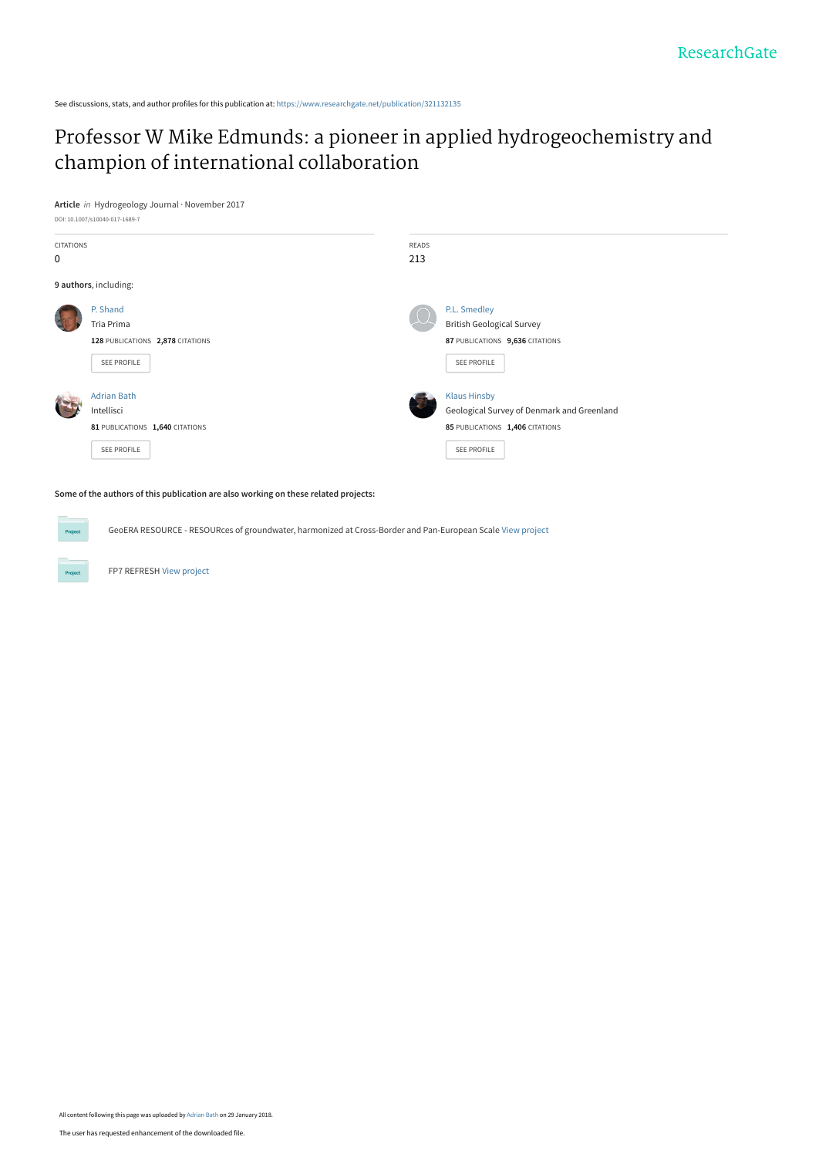See discussions, stats, and author profiles for this publication at: [https://www.researchgate.net/publication/321132135](https://www.researchgate.net/publication/321132135_Professor_W_Mike_Edmunds_a_pioneer_in_applied_hydrogeochemistry_and_champion_of_international_collaboration?enrichId=rgreq-0f729ac9daa7c5bfd4b4f965700c58a6-XXX&enrichSource=Y292ZXJQYWdlOzMyMTEzMjEzNTtBUzo1ODgyNTE2ODU0NjIwMTZAMTUxNzI2MTUzOTkyNg%3D%3D&el=1_x_2&_esc=publicationCoverPdf)

# [Professor W Mike Edmunds: a pioneer in applied hydrogeochemistry and](https://www.researchgate.net/publication/321132135_Professor_W_Mike_Edmunds_a_pioneer_in_applied_hydrogeochemistry_and_champion_of_international_collaboration?enrichId=rgreq-0f729ac9daa7c5bfd4b4f965700c58a6-XXX&enrichSource=Y292ZXJQYWdlOzMyMTEzMjEzNTtBUzo1ODgyNTE2ODU0NjIwMTZAMTUxNzI2MTUzOTkyNg%3D%3D&el=1_x_3&_esc=publicationCoverPdf) champion of international collaboration





**Some of the authors of this publication are also working on these related projects:**

GeoERA RESOURCE - RESOURces of groundwater, harmonized at Cross-Border and Pan-European Scale [View project](https://www.researchgate.net/project/GeoERA-RESOURCE-RESOURces-of-groundwater-harmonized-at-Cross-Border-and-Pan-European-Scale?enrichId=rgreq-0f729ac9daa7c5bfd4b4f965700c58a6-XXX&enrichSource=Y292ZXJQYWdlOzMyMTEzMjEzNTtBUzo1ODgyNTE2ODU0NjIwMTZAMTUxNzI2MTUzOTkyNg%3D%3D&el=1_x_9&_esc=publicationCoverPdf)

FP7 REFRESH [View project](https://www.researchgate.net/project/FP7-REFRESH?enrichId=rgreq-0f729ac9daa7c5bfd4b4f965700c58a6-XXX&enrichSource=Y292ZXJQYWdlOzMyMTEzMjEzNTtBUzo1ODgyNTE2ODU0NjIwMTZAMTUxNzI2MTUzOTkyNg%3D%3D&el=1_x_9&_esc=publicationCoverPdf)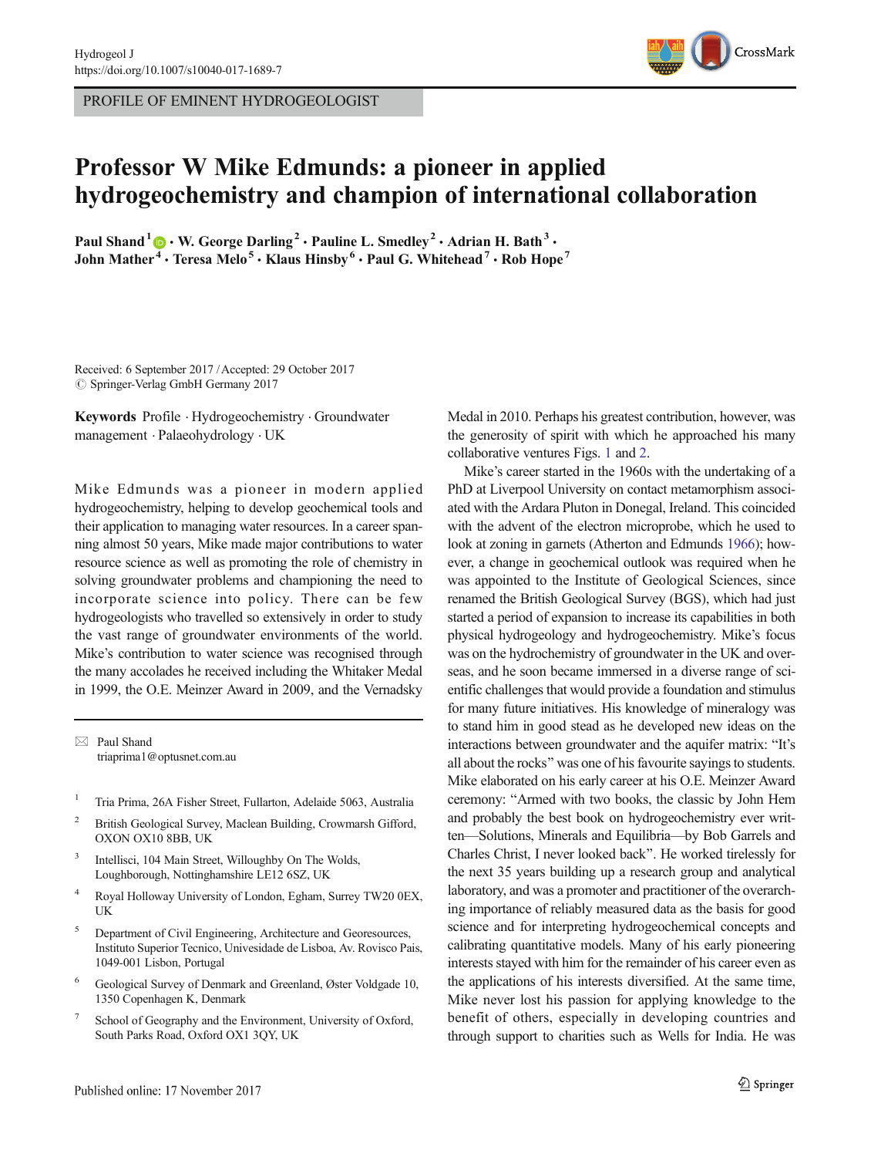PROFILE OF EMINENT HYDROGEOLOGIST



## Professor W Mike Edmunds: a pioneer in applied hydrogeochemistry and champion of international collaboration

Paul Shand<sup>1</sup>  $\cdot$  W. George Darling<sup>2</sup>  $\cdot$  Pauline L. Smedley<sup>2</sup>  $\cdot$  Adrian H. Bath<sup>3</sup>  $\cdot$ John Mather<sup>4</sup> • Teresa Melo<sup>5</sup> • Klaus Hinsby<sup>6</sup> • Paul G. Whitehead<sup>7</sup> • Rob Hope<sup>7</sup>

Received: 6 September 2017 /Accepted: 29 October 2017  $\oslash$  Springer-Verlag GmbH Germany 2017

Keywords Profile . Hydrogeochemistry . Groundwater management . Palaeohydrology . UK

Mike Edmunds was a pioneer in modern applied hydrogeochemistry, helping to develop geochemical tools and their application to managing water resources. In a career spanning almost 50 years, Mike made major contributions to water resource science as well as promoting the role of chemistry in solving groundwater problems and championing the need to incorporate science into policy. There can be few hydrogeologists who travelled so extensively in order to study the vast range of groundwater environments of the world. Mike's contribution to water science was recognised through the many accolades he received including the Whitaker Medal in 1999, the O.E. Meinzer Award in 2009, and the Vernadsky

 $\boxtimes$  Paul Shand [triaprima1@optusnet.com.au](mailto:triaprima1@optusnet.com.au)

- <sup>1</sup> Tria Prima, 26A Fisher Street, Fullarton, Adelaide 5063, Australia
- <sup>2</sup> British Geological Survey, Maclean Building, Crowmarsh Gifford, OXON OX10 8BB, UK
- <sup>3</sup> Intellisci, 104 Main Street, Willoughby On The Wolds, Loughborough, Nottinghamshire LE12 6SZ, UK
- <sup>4</sup> Royal Holloway University of London, Egham, Surrey TW20 0EX, UK
- <sup>5</sup> Department of Civil Engineering, Architecture and Georesources, Instituto Superior Tecnico, Univesidade de Lisboa, Av. Rovisco Pais, 1049-001 Lisbon, Portugal
- <sup>6</sup> Geological Survey of Denmark and Greenland, Øster Voldgade 10, 1350 Copenhagen K, Denmark
- School of Geography and the Environment, University of Oxford, South Parks Road, Oxford OX1 3QY, UK

Medal in 2010. Perhaps his greatest contribution, however, was the generosity of spirit with which he approached his many collaborative ventures Figs. [1](#page-2-0) and [2](#page-2-0).

Mike's career started in the 1960s with the undertaking of a PhD at Liverpool University on contact metamorphism associated with the Ardara Pluton in Donegal, Ireland. This coincided with the advent of the electron microprobe, which he used to look at zoning in garnets (Atherton and Edmunds [1966](#page-4-0)); however, a change in geochemical outlook was required when he was appointed to the Institute of Geological Sciences, since renamed the British Geological Survey (BGS), which had just started a period of expansion to increase its capabilities in both physical hydrogeology and hydrogeochemistry. Mike's focus was on the hydrochemistry of groundwater in the UK and overseas, and he soon became immersed in a diverse range of scientific challenges that would provide a foundation and stimulus for many future initiatives. His knowledge of mineralogy was to stand him in good stead as he developed new ideas on the interactions between groundwater and the aquifer matrix: "It's all about the rocks" was one of his favourite sayings to students. Mike elaborated on his early career at his O.E. Meinzer Award ceremony: "Armed with two books, the classic by John Hem and probably the best book on hydrogeochemistry ever written—Solutions, Minerals and Equilibria—by Bob Garrels and Charles Christ, I never looked back^. He worked tirelessly for the next 35 years building up a research group and analytical laboratory, and was a promoter and practitioner of the overarching importance of reliably measured data as the basis for good science and for interpreting hydrogeochemical concepts and calibrating quantitative models. Many of his early pioneering interests stayed with him for the remainder of his career even as the applications of his interests diversified. At the same time, Mike never lost his passion for applying knowledge to the benefit of others, especially in developing countries and through support to charities such as Wells for India. He was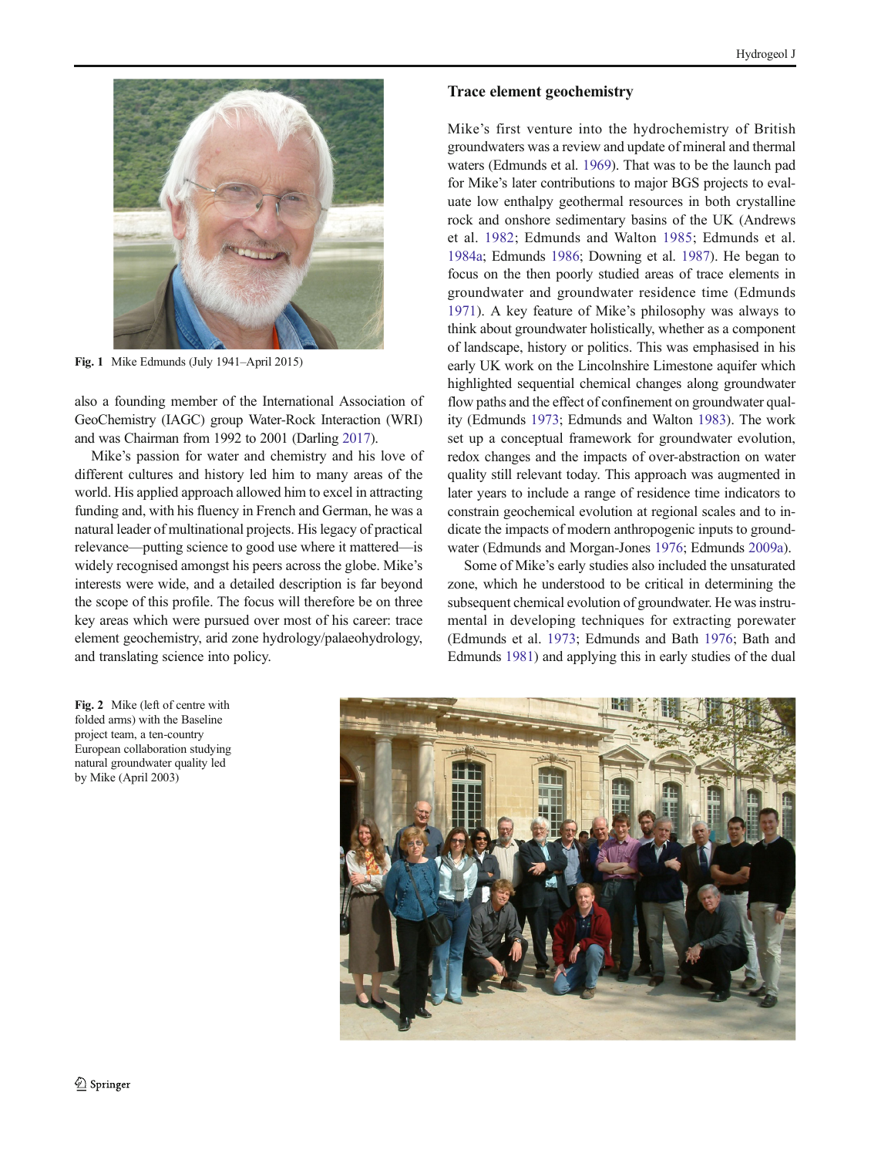<span id="page-2-0"></span>

Fig. 1 Mike Edmunds (July 1941–April 2015)

also a founding member of the International Association of GeoChemistry (IAGC) group Water-Rock Interaction (WRI) and was Chairman from 1992 to 2001 (Darling [2017](#page-4-0)).

Mike's passion for water and chemistry and his love of different cultures and history led him to many areas of the world. His applied approach allowed him to excel in attracting funding and, with his fluency in French and German, he was a natural leader of multinational projects. His legacy of practical relevance—putting science to good use where it mattered—is widely recognised amongst his peers across the globe. Mike's interests were wide, and a detailed description is far beyond the scope of this profile. The focus will therefore be on three key areas which were pursued over most of his career: trace element geochemistry, arid zone hydrology/palaeohydrology, and translating science into policy.

#### Trace element geochemistry

Mike's first venture into the hydrochemistry of British groundwaters was a review and update of mineral and thermal waters (Edmunds et al. [1969](#page-5-0)). That was to be the launch pad for Mike's later contributions to major BGS projects to evaluate low enthalpy geothermal resources in both crystalline rock and onshore sedimentary basins of the UK (Andrews et al. [1982;](#page-4-0) Edmunds and Walton [1985;](#page-5-0) Edmunds et al. [1984a;](#page-5-0) Edmunds [1986](#page-5-0); Downing et al. [1987\)](#page-4-0). He began to focus on the then poorly studied areas of trace elements in groundwater and groundwater residence time (Edmunds [1971](#page-4-0)). A key feature of Mike's philosophy was always to think about groundwater holistically, whether as a component of landscape, history or politics. This was emphasised in his early UK work on the Lincolnshire Limestone aquifer which highlighted sequential chemical changes along groundwater flow paths and the effect of confinement on groundwater quality (Edmunds [1973;](#page-4-0) Edmunds and Walton [1983\)](#page-5-0). The work set up a conceptual framework for groundwater evolution, redox changes and the impacts of over-abstraction on water quality still relevant today. This approach was augmented in later years to include a range of residence time indicators to constrain geochemical evolution at regional scales and to indicate the impacts of modern anthropogenic inputs to groundwater (Edmunds and Morgan-Jones [1976](#page-5-0); Edmunds [2009a\)](#page-5-0).

Some of Mike's early studies also included the unsaturated zone, which he understood to be critical in determining the subsequent chemical evolution of groundwater. He was instrumental in developing techniques for extracting porewater (Edmunds et al. [1973;](#page-5-0) Edmunds and Bath [1976](#page-5-0); Bath and Edmunds [1981](#page-4-0)) and applying this in early studies of the dual



Fig. 2 Mike (left of centre with folded arms) with the Baseline project team, a ten-country European collaboration studying natural groundwater quality led by Mike (April 2003)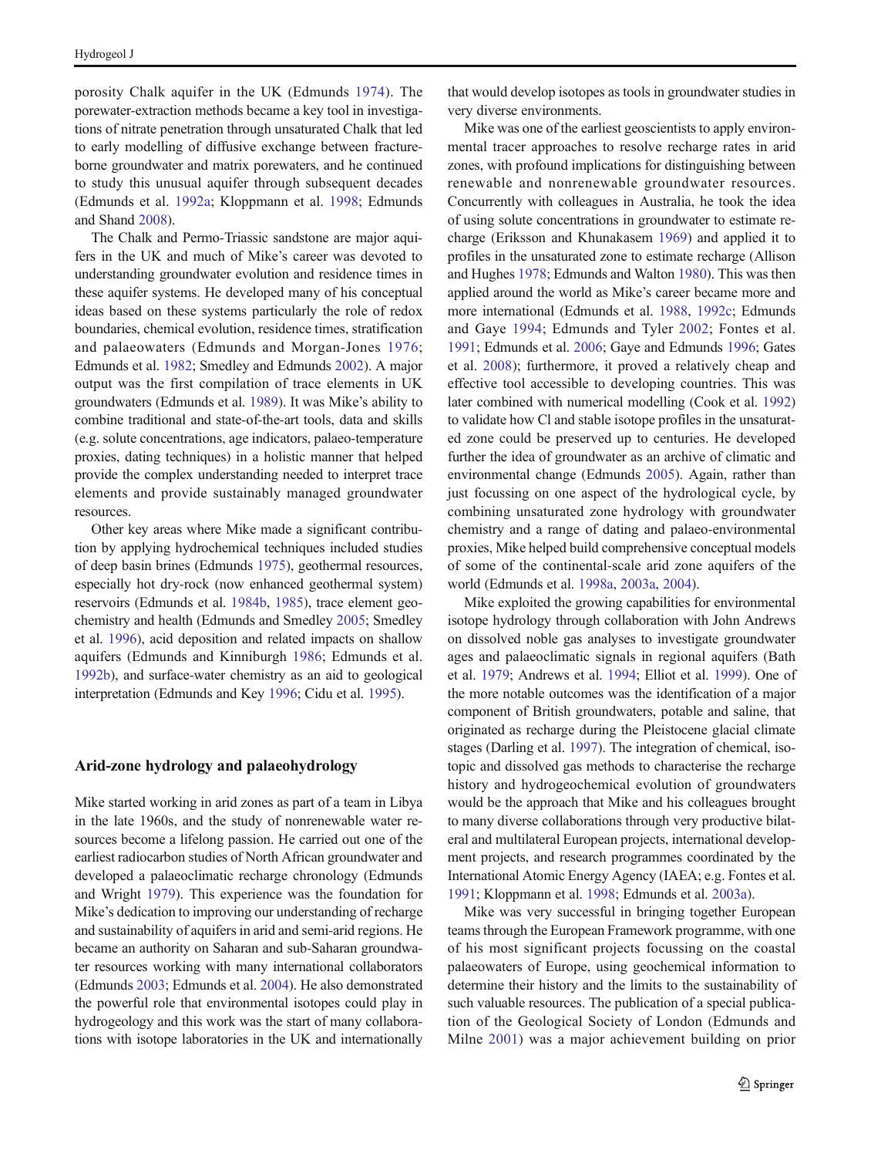porosity Chalk aquifer in the UK (Edmunds [1974](#page-5-0)). The porewater-extraction methods became a key tool in investigations of nitrate penetration through unsaturated Chalk that led to early modelling of diffusive exchange between fractureborne groundwater and matrix porewaters, and he continued to study this unusual aquifer through subsequent decades (Edmunds et al. [1992a;](#page-5-0) Kloppmann et al. [1998](#page-6-0); Edmunds and Shand [2008](#page-5-0)).

The Chalk and Permo-Triassic sandstone are major aquifers in the UK and much of Mike's career was devoted to understanding groundwater evolution and residence times in these aquifer systems. He developed many of his conceptual ideas based on these systems particularly the role of redox boundaries, chemical evolution, residence times, stratification and palaeowaters (Edmunds and Morgan-Jones [1976](#page-5-0); Edmunds et al. [1982](#page-5-0); Smedley and Edmunds [2002\)](#page-6-0). A major output was the first compilation of trace elements in UK groundwaters (Edmunds et al. [1989](#page-5-0)). It was Mike's ability to combine traditional and state-of-the-art tools, data and skills (e.g. solute concentrations, age indicators, palaeo-temperature proxies, dating techniques) in a holistic manner that helped provide the complex understanding needed to interpret trace elements and provide sustainably managed groundwater resources.

Other key areas where Mike made a significant contribution by applying hydrochemical techniques included studies of deep basin brines (Edmunds [1975\)](#page-5-0), geothermal resources, especially hot dry-rock (now enhanced geothermal system) reservoirs (Edmunds et al. [1984b](#page-5-0), [1985\)](#page-5-0), trace element geochemistry and health (Edmunds and Smedley [2005;](#page-5-0) Smedley et al. [1996\)](#page-6-0), acid deposition and related impacts on shallow aquifers (Edmunds and Kinniburgh [1986](#page-5-0); Edmunds et al. [1992b](#page-5-0)), and surface-water chemistry as an aid to geological interpretation (Edmunds and Key [1996](#page-5-0); Cidu et al. [1995](#page-4-0)).

#### Arid-zone hydrology and palaeohydrology

Mike started working in arid zones as part of a team in Libya in the late 1960s, and the study of nonrenewable water resources become a lifelong passion. He carried out one of the earliest radiocarbon studies of North African groundwater and developed a palaeoclimatic recharge chronology (Edmunds and Wright [1979](#page-5-0)). This experience was the foundation for Mike's dedication to improving our understanding of recharge and sustainability of aquifers in arid and semi-arid regions. He became an authority on Saharan and sub-Saharan groundwater resources working with many international collaborators (Edmunds [2003;](#page-5-0) Edmunds et al. [2004\)](#page-5-0). He also demonstrated the powerful role that environmental isotopes could play in hydrogeology and this work was the start of many collaborations with isotope laboratories in the UK and internationally

that would develop isotopes as tools in groundwater studies in very diverse environments.

Mike was one of the earliest geoscientists to apply environmental tracer approaches to resolve recharge rates in arid zones, with profound implications for distinguishing between renewable and nonrenewable groundwater resources. Concurrently with colleagues in Australia, he took the idea of using solute concentrations in groundwater to estimate recharge (Eriksson and Khunakasem [1969](#page-6-0)) and applied it to profiles in the unsaturated zone to estimate recharge (Allison and Hughes [1978;](#page-4-0) Edmunds and Walton [1980](#page-5-0)). This was then applied around the world as Mike's career became more and more international (Edmunds et al. [1988](#page-5-0), [1992c;](#page-5-0) Edmunds and Gaye [1994;](#page-5-0) Edmunds and Tyler [2002](#page-5-0); Fontes et al. [1991;](#page-6-0) Edmunds et al. [2006](#page-5-0); Gaye and Edmunds [1996;](#page-6-0) Gates et al. [2008](#page-6-0)); furthermore, it proved a relatively cheap and effective tool accessible to developing countries. This was later combined with numerical modelling (Cook et al. [1992](#page-4-0)) to validate how Cl and stable isotope profiles in the unsaturated zone could be preserved up to centuries. He developed further the idea of groundwater as an archive of climatic and environmental change (Edmunds [2005\)](#page-5-0). Again, rather than just focussing on one aspect of the hydrological cycle, by combining unsaturated zone hydrology with groundwater chemistry and a range of dating and palaeo-environmental proxies, Mike helped build comprehensive conceptual models of some of the continental-scale arid zone aquifers of the world (Edmunds et al. [1998a](#page-5-0), [2003a](#page-5-0), [2004\)](#page-5-0).

Mike exploited the growing capabilities for environmental isotope hydrology through collaboration with John Andrews on dissolved noble gas analyses to investigate groundwater ages and palaeoclimatic signals in regional aquifers (Bath et al. [1979](#page-4-0); Andrews et al. [1994](#page-4-0); Elliot et al. [1999\)](#page-6-0). One of the more notable outcomes was the identification of a major component of British groundwaters, potable and saline, that originated as recharge during the Pleistocene glacial climate stages (Darling et al. [1997\)](#page-4-0). The integration of chemical, isotopic and dissolved gas methods to characterise the recharge history and hydrogeochemical evolution of groundwaters would be the approach that Mike and his colleagues brought to many diverse collaborations through very productive bilateral and multilateral European projects, international development projects, and research programmes coordinated by the International Atomic Energy Agency (IAEA; e.g. Fontes et al. [1991;](#page-6-0) Kloppmann et al. [1998;](#page-6-0) Edmunds et al. [2003a\)](#page-5-0).

Mike was very successful in bringing together European teams through the European Framework programme, with one of his most significant projects focussing on the coastal palaeowaters of Europe, using geochemical information to determine their history and the limits to the sustainability of such valuable resources. The publication of a special publication of the Geological Society of London (Edmunds and Milne [2001\)](#page-5-0) was a major achievement building on prior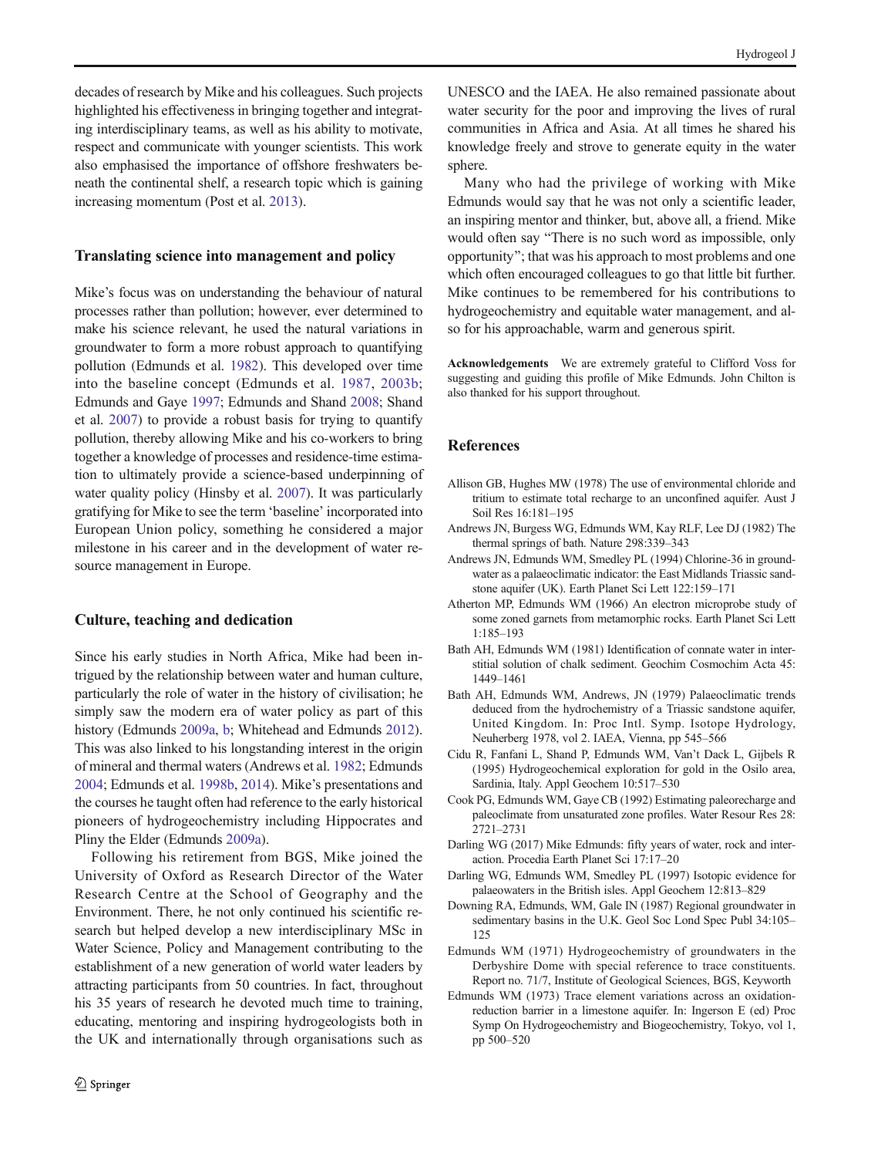<span id="page-4-0"></span>decades of research by Mike and his colleagues. Such projects highlighted his effectiveness in bringing together and integrating interdisciplinary teams, as well as his ability to motivate, respect and communicate with younger scientists. This work also emphasised the importance of offshore freshwaters beneath the continental shelf, a research topic which is gaining increasing momentum (Post et al. [2013\)](#page-6-0).

## Translating science into management and policy

Mike's focus was on understanding the behaviour of natural processes rather than pollution; however, ever determined to make his science relevant, he used the natural variations in groundwater to form a more robust approach to quantifying pollution (Edmunds et al. [1982\)](#page-5-0). This developed over time into the baseline concept (Edmunds et al. [1987,](#page-5-0) [2003b](#page-5-0); Edmunds and Gaye [1997](#page-5-0); Edmunds and Shand [2008](#page-5-0); Shand et al. [2007](#page-6-0)) to provide a robust basis for trying to quantify pollution, thereby allowing Mike and his co-workers to bring together a knowledge of processes and residence-time estimation to ultimately provide a science-based underpinning of water quality policy (Hinsby et al. [2007](#page-6-0)). It was particularly gratifying for Mike to see the term 'baseline' incorporated into European Union policy, something he considered a major milestone in his career and in the development of water resource management in Europe.

## Culture, teaching and dedication

Since his early studies in North Africa, Mike had been intrigued by the relationship between water and human culture, particularly the role of water in the history of civilisation; he simply saw the modern era of water policy as part of this history (Edmunds [2009a](#page-5-0), [b](#page-5-0); Whitehead and Edmunds [2012\)](#page-6-0). This was also linked to his longstanding interest in the origin of mineral and thermal waters (Andrews et al. 1982; Edmunds [2004;](#page-5-0) Edmunds et al. [1998b](#page-5-0), [2014\)](#page-5-0). Mike's presentations and the courses he taught often had reference to the early historical pioneers of hydrogeochemistry including Hippocrates and Pliny the Elder (Edmunds [2009a\)](#page-5-0).

Following his retirement from BGS, Mike joined the University of Oxford as Research Director of the Water Research Centre at the School of Geography and the Environment. There, he not only continued his scientific research but helped develop a new interdisciplinary MSc in Water Science, Policy and Management contributing to the establishment of a new generation of world water leaders by attracting participants from 50 countries. In fact, throughout his 35 years of research he devoted much time to training, educating, mentoring and inspiring hydrogeologists both in the UK and internationally through organisations such as

UNESCO and the IAEA. He also remained passionate about water security for the poor and improving the lives of rural communities in Africa and Asia. At all times he shared his knowledge freely and strove to generate equity in the water sphere.

Many who had the privilege of working with Mike Edmunds would say that he was not only a scientific leader, an inspiring mentor and thinker, but, above all, a friend. Mike would often say "There is no such word as impossible, only opportunity"; that was his approach to most problems and one which often encouraged colleagues to go that little bit further. Mike continues to be remembered for his contributions to hydrogeochemistry and equitable water management, and also for his approachable, warm and generous spirit.

Acknowledgements We are extremely grateful to Clifford Voss for suggesting and guiding this profile of Mike Edmunds. John Chilton is also thanked for his support throughout.

## References

- Allison GB, Hughes MW (1978) The use of environmental chloride and tritium to estimate total recharge to an unconfined aquifer. Aust J Soil Res 16:181–195
- Andrews JN, Burgess WG, Edmunds WM, Kay RLF, Lee DJ (1982) The thermal springs of bath. Nature 298:339–343
- Andrews JN, Edmunds WM, Smedley PL (1994) Chlorine-36 in groundwater as a palaeoclimatic indicator: the East Midlands Triassic sandstone aquifer (UK). Earth Planet Sci Lett 122:159–171
- Atherton MP, Edmunds WM (1966) An electron microprobe study of some zoned garnets from metamorphic rocks. Earth Planet Sci Lett 1:185–193
- Bath AH, Edmunds WM (1981) Identification of connate water in interstitial solution of chalk sediment. Geochim Cosmochim Acta 45: 1449–1461
- Bath AH, Edmunds WM, Andrews, JN (1979) Palaeoclimatic trends deduced from the hydrochemistry of a Triassic sandstone aquifer, United Kingdom. In: Proc Intl. Symp. Isotope Hydrology, Neuherberg 1978, vol 2. IAEA, Vienna, pp 545–566
- Cidu R, Fanfani L, Shand P, Edmunds WM, Van't Dack L, Gijbels R (1995) Hydrogeochemical exploration for gold in the Osilo area, Sardinia, Italy. Appl Geochem 10:517–530
- Cook PG, Edmunds WM, Gaye CB (1992) Estimating paleorecharge and paleoclimate from unsaturated zone profiles. Water Resour Res 28: 2721–2731
- Darling WG (2017) Mike Edmunds: fifty years of water, rock and interaction. Procedia Earth Planet Sci 17:17–20
- Darling WG, Edmunds WM, Smedley PL (1997) Isotopic evidence for palaeowaters in the British isles. Appl Geochem 12:813–829
- Downing RA, Edmunds, WM, Gale IN (1987) Regional groundwater in sedimentary basins in the U.K. Geol Soc Lond Spec Publ 34:105– 125
- Edmunds WM (1971) Hydrogeochemistry of groundwaters in the Derbyshire Dome with special reference to trace constituents. Report no. 71/7, Institute of Geological Sciences, BGS, Keyworth
- Edmunds WM (1973) Trace element variations across an oxidationreduction barrier in a limestone aquifer. In: Ingerson E (ed) Proc Symp On Hydrogeochemistry and Biogeochemistry, Tokyo, vol 1, pp 500–520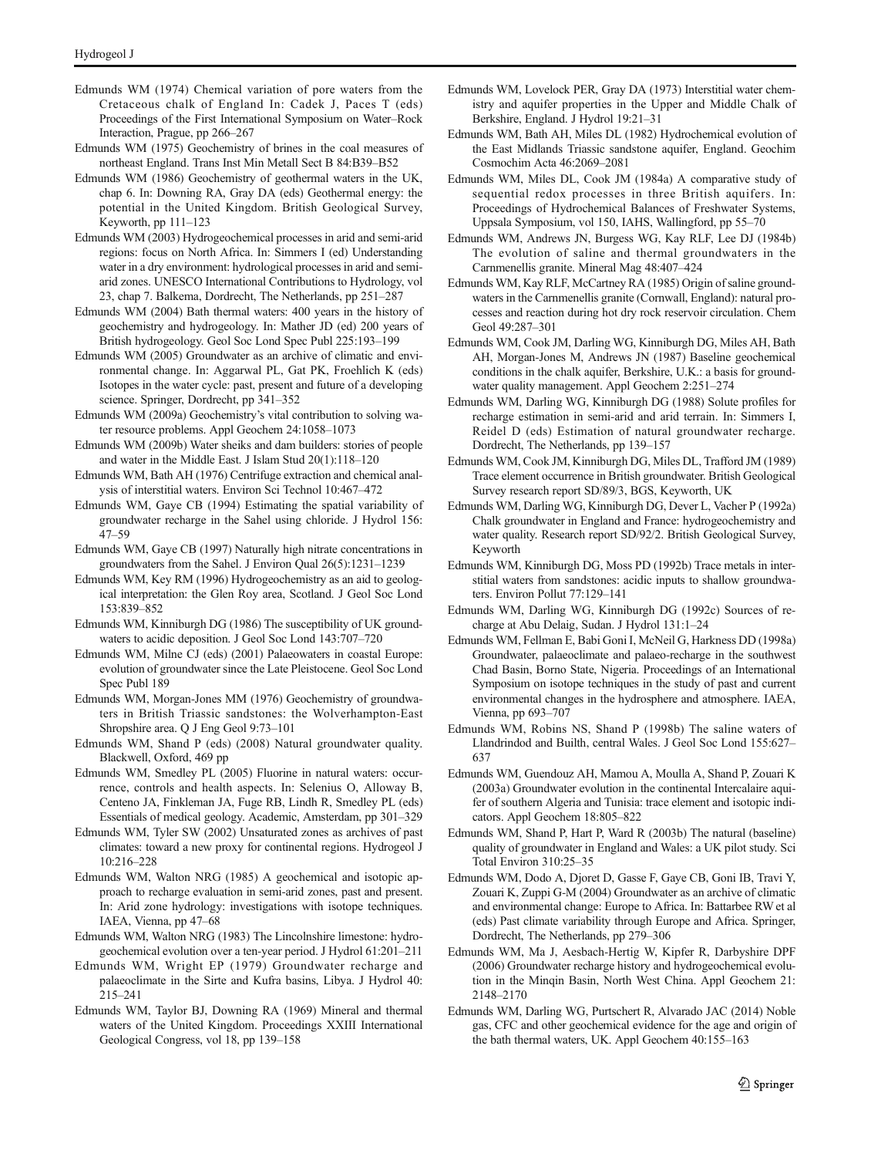- <span id="page-5-0"></span>Edmunds WM (1974) Chemical variation of pore waters from the Cretaceous chalk of England In: Cadek J, Paces T (eds) Proceedings of the First International Symposium on Water–Rock Interaction, Prague, pp 266–267
- Edmunds WM (1975) Geochemistry of brines in the coal measures of northeast England. Trans Inst Min Metall Sect B 84:B39–B52
- Edmunds WM (1986) Geochemistry of geothermal waters in the UK, chap 6. In: Downing RA, Gray DA (eds) Geothermal energy: the potential in the United Kingdom. British Geological Survey, Keyworth, pp 111–123
- Edmunds WM (2003) Hydrogeochemical processes in arid and semi-arid regions: focus on North Africa. In: Simmers I (ed) Understanding water in a dry environment: hydrological processes in arid and semiarid zones. UNESCO International Contributions to Hydrology, vol 23, chap 7. Balkema, Dordrecht, The Netherlands, pp 251–287
- Edmunds WM (2004) Bath thermal waters: 400 years in the history of geochemistry and hydrogeology. In: Mather JD (ed) 200 years of British hydrogeology. Geol Soc Lond Spec Publ 225:193–199
- Edmunds WM (2005) Groundwater as an archive of climatic and environmental change. In: Aggarwal PL, Gat PK, Froehlich K (eds) Isotopes in the water cycle: past, present and future of a developing science. Springer, Dordrecht, pp 341–352
- Edmunds WM (2009a) Geochemistry's vital contribution to solving water resource problems. Appl Geochem 24:1058–1073
- Edmunds WM (2009b) Water sheiks and dam builders: stories of people and water in the Middle East. J Islam Stud 20(1):118–120
- Edmunds WM, Bath AH (1976) Centrifuge extraction and chemical analysis of interstitial waters. Environ Sci Technol 10:467–472
- Edmunds WM, Gaye CB (1994) Estimating the spatial variability of groundwater recharge in the Sahel using chloride. J Hydrol 156: 47–59
- Edmunds WM, Gaye CB (1997) Naturally high nitrate concentrations in groundwaters from the Sahel. J Environ Qual 26(5):1231–1239
- Edmunds WM, Key RM (1996) Hydrogeochemistry as an aid to geological interpretation: the Glen Roy area, Scotland. J Geol Soc Lond 153:839–852
- Edmunds WM, Kinniburgh DG (1986) The susceptibility of UK groundwaters to acidic deposition. J Geol Soc Lond 143:707–720
- Edmunds WM, Milne CJ (eds) (2001) Palaeowaters in coastal Europe: evolution of groundwater since the Late Pleistocene. Geol Soc Lond Spec Publ 189
- Edmunds WM, Morgan-Jones MM (1976) Geochemistry of groundwaters in British Triassic sandstones: the Wolverhampton-East Shropshire area. Q J Eng Geol 9:73–101
- Edmunds WM, Shand P (eds) (2008) Natural groundwater quality. Blackwell, Oxford, 469 pp
- Edmunds WM, Smedley PL (2005) Fluorine in natural waters: occurrence, controls and health aspects. In: Selenius O, Alloway B, Centeno JA, Finkleman JA, Fuge RB, Lindh R, Smedley PL (eds) Essentials of medical geology. Academic, Amsterdam, pp 301–329
- Edmunds WM, Tyler SW (2002) Unsaturated zones as archives of past climates: toward a new proxy for continental regions. Hydrogeol J 10:216–228
- Edmunds WM, Walton NRG (1985) A geochemical and isotopic approach to recharge evaluation in semi-arid zones, past and present. In: Arid zone hydrology: investigations with isotope techniques. IAEA, Vienna, pp 47–68
- Edmunds WM, Walton NRG (1983) The Lincolnshire limestone: hydrogeochemical evolution over a ten-year period. J Hydrol 61:201–211
- Edmunds WM, Wright EP (1979) Groundwater recharge and palaeoclimate in the Sirte and Kufra basins, Libya. J Hydrol 40: 215–241
- Edmunds WM, Taylor BJ, Downing RA (1969) Mineral and thermal waters of the United Kingdom. Proceedings XXIII International Geological Congress, vol 18, pp 139–158
- Edmunds WM, Lovelock PER, Gray DA (1973) Interstitial water chemistry and aquifer properties in the Upper and Middle Chalk of Berkshire, England. J Hydrol 19:21–31
- Edmunds WM, Bath AH, Miles DL (1982) Hydrochemical evolution of the East Midlands Triassic sandstone aquifer, England. Geochim Cosmochim Acta 46:2069–2081
- Edmunds WM, Miles DL, Cook JM (1984a) A comparative study of sequential redox processes in three British aquifers. In: Proceedings of Hydrochemical Balances of Freshwater Systems, Uppsala Symposium, vol 150, IAHS, Wallingford, pp 55–70
- Edmunds WM, Andrews JN, Burgess WG, Kay RLF, Lee DJ (1984b) The evolution of saline and thermal groundwaters in the Carnmenellis granite. Mineral Mag 48:407–424
- Edmunds WM, Kay RLF, McCartney RA (1985) Origin of saline groundwaters in the Carnmenellis granite (Cornwall, England): natural processes and reaction during hot dry rock reservoir circulation. Chem Geol 49:287–301
- Edmunds WM, Cook JM, Darling WG, Kinniburgh DG, Miles AH, Bath AH, Morgan-Jones M, Andrews JN (1987) Baseline geochemical conditions in the chalk aquifer, Berkshire, U.K.: a basis for groundwater quality management. Appl Geochem 2:251–274
- Edmunds WM, Darling WG, Kinniburgh DG (1988) Solute profiles for recharge estimation in semi-arid and arid terrain. In: Simmers I, Reidel D (eds) Estimation of natural groundwater recharge. Dordrecht, The Netherlands, pp 139–157
- Edmunds WM, Cook JM, Kinniburgh DG, Miles DL, Trafford JM (1989) Trace element occurrence in British groundwater. British Geological Survey research report SD/89/3, BGS, Keyworth, UK
- Edmunds WM, Darling WG, Kinniburgh DG, Dever L, Vacher P (1992a) Chalk groundwater in England and France: hydrogeochemistry and water quality. Research report SD/92/2. British Geological Survey, Keyworth
- Edmunds WM, Kinniburgh DG, Moss PD (1992b) Trace metals in interstitial waters from sandstones: acidic inputs to shallow groundwaters. Environ Pollut 77:129–141
- Edmunds WM, Darling WG, Kinniburgh DG (1992c) Sources of recharge at Abu Delaig, Sudan. J Hydrol 131:1–24
- Edmunds WM, Fellman E, Babi Goni I, McNeil G, Harkness DD (1998a) Groundwater, palaeoclimate and palaeo-recharge in the southwest Chad Basin, Borno State, Nigeria. Proceedings of an International Symposium on isotope techniques in the study of past and current environmental changes in the hydrosphere and atmosphere. IAEA, Vienna, pp 693–707
- Edmunds WM, Robins NS, Shand P (1998b) The saline waters of Llandrindod and Builth, central Wales. J Geol Soc Lond 155:627– 637
- Edmunds WM, Guendouz AH, Mamou A, Moulla A, Shand P, Zouari K (2003a) Groundwater evolution in the continental Intercalaire aquifer of southern Algeria and Tunisia: trace element and isotopic indicators. Appl Geochem 18:805–822
- Edmunds WM, Shand P, Hart P, Ward R (2003b) The natural (baseline) quality of groundwater in England and Wales: a UK pilot study. Sci Total Environ 310:25–35
- Edmunds WM, Dodo A, Djoret D, Gasse F, Gaye CB, Goni IB, Travi Y, Zouari K, Zuppi G-M (2004) Groundwater as an archive of climatic and environmental change: Europe to Africa. In: Battarbee RW et al (eds) Past climate variability through Europe and Africa. Springer, Dordrecht, The Netherlands, pp 279–306
- Edmunds WM, Ma J, Aesbach-Hertig W, Kipfer R, Darbyshire DPF (2006) Groundwater recharge history and hydrogeochemical evolution in the Minqin Basin, North West China. Appl Geochem 21: 2148–2170
- Edmunds WM, Darling WG, Purtschert R, Alvarado JAC (2014) Noble gas, CFC and other geochemical evidence for the age and origin of the bath thermal waters, UK. Appl Geochem 40:155–163